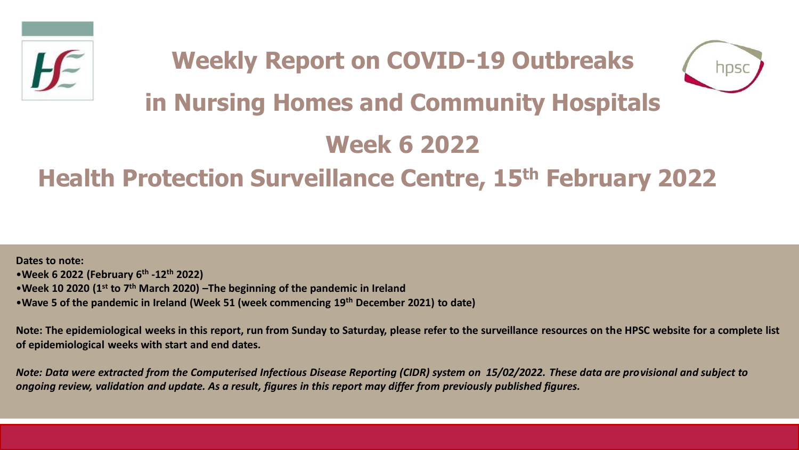



# **in Nursing Homes and Community Hospitals**

# **Week 6 2022**

## **Health Protection Surveillance Centre, 15th February 2022**

**Dates to note:** •**Week 6 2022 (February 6th -12th 2022)** •**Week 10 2020 (1st to 7th March 2020) –The beginning of the pandemic in Ireland**  •**Wave 5 of the pandemic in Ireland (Week 51 (week commencing 19th December 2021) to date)**

**Note: The epidemiological weeks in this report, run from Sunday to Saturday, please refer to the surveillance resources on the HPSC website for a complete list of epidemiological weeks with start and end dates.**

*Note: Data were extracted from the Computerised Infectious Disease Reporting (CIDR) system on 15/02/2022. These data are provisional and subject to ongoing review, validation and update. As a result, figures in this report may differ from previously published figures.*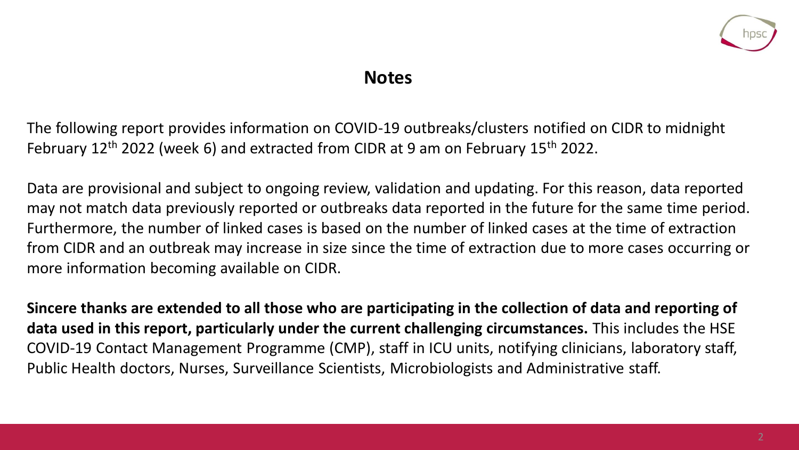

### **Notes**

The following report provides information on COVID-19 outbreaks/clusters notified on CIDR to midnight February 12<sup>th</sup> 2022 (week 6) and extracted from CIDR at 9 am on February 15<sup>th</sup> 2022.

Data are provisional and subject to ongoing review, validation and updating. For this reason, data reported may not match data previously reported or outbreaks data reported in the future for the same time period. Furthermore, the number of linked cases is based on the number of linked cases at the time of extraction from CIDR and an outbreak may increase in size since the time of extraction due to more cases occurring or more information becoming available on CIDR.

**Sincere thanks are extended to all those who are participating in the collection of data and reporting of data used in this report, particularly under the current challenging circumstances.** This includes the HSE COVID-19 Contact Management Programme (CMP), staff in ICU units, notifying clinicians, laboratory staff, Public Health doctors, Nurses, Surveillance Scientists, Microbiologists and Administrative staff.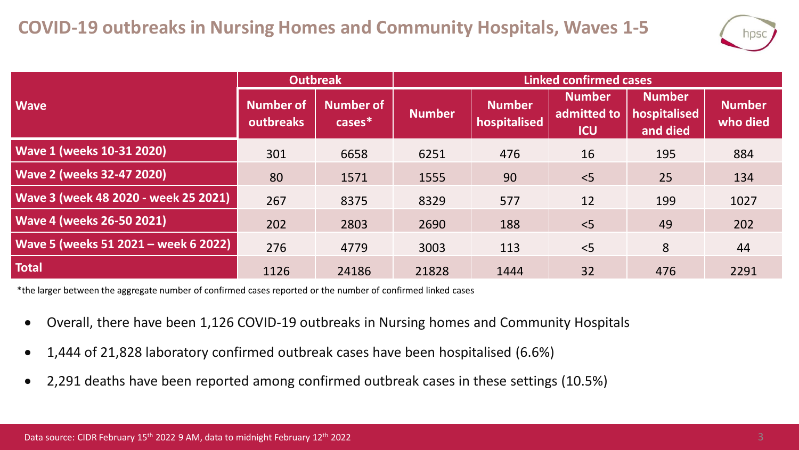

|                                      | Outbreak                      |                               | <b>Linked confirmed cases</b> |                               |                                            |                                           |                           |  |
|--------------------------------------|-------------------------------|-------------------------------|-------------------------------|-------------------------------|--------------------------------------------|-------------------------------------------|---------------------------|--|
| <b>Wave</b>                          | <b>Number of</b><br>outbreaks | <b>Number of</b><br>$cases^*$ | <b>Number</b>                 | <b>Number</b><br>hospitalised | <b>Number</b><br>admitted to<br><b>ICU</b> | <b>Number</b><br>hospitalised<br>and died | <b>Number</b><br>who died |  |
| <b>Wave 1 (weeks 10-31 2020)</b>     | 301                           | 6658                          | 6251                          | 476                           | 16                                         | 195                                       | 884                       |  |
| <b>Wave 2 (weeks 32-47 2020)</b>     | 80                            | 1571                          | 1555                          | 90                            | < 5                                        | 25                                        | 134                       |  |
| Wave 3 (week 48 2020 - week 25 2021) | 267                           | 8375                          | 8329                          | 577                           | 12                                         | 199                                       | 1027                      |  |
| <b>Wave 4 (weeks 26-50 2021)</b>     | 202                           | 2803                          | 2690                          | 188                           | < 5                                        | 49                                        | 202                       |  |
| Wave 5 (weeks 51 2021 - week 6 2022) | 276                           | 4779                          | 3003                          | 113                           | < 5                                        | 8                                         | 44                        |  |
| <b>Total</b>                         | 1126                          | 24186                         | 21828                         | 1444                          | 32                                         | 476                                       | 2291                      |  |

\*the larger between the aggregate number of confirmed cases reported or the number of confirmed linked cases

- Overall, there have been 1,126 COVID-19 outbreaks in Nursing homes and Community Hospitals
- 1,444 of 21,828 laboratory confirmed outbreak cases have been hospitalised (6.6%)
- 2,291 deaths have been reported among confirmed outbreak cases in these settings (10.5%)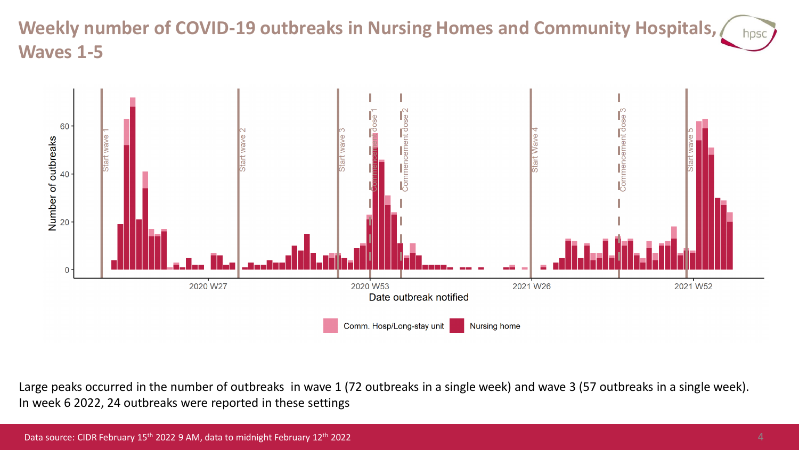#### **Weekly number of COVID-19 outbreaks in Nursing Homes and Community Hospitals,**  hpsc **Waves 1-5**



Large peaks occurred in the number of outbreaks in wave 1 (72 outbreaks in a single week) and wave 3 (57 outbreaks in a single week). In week 6 2022, 24 outbreaks were reported in these settings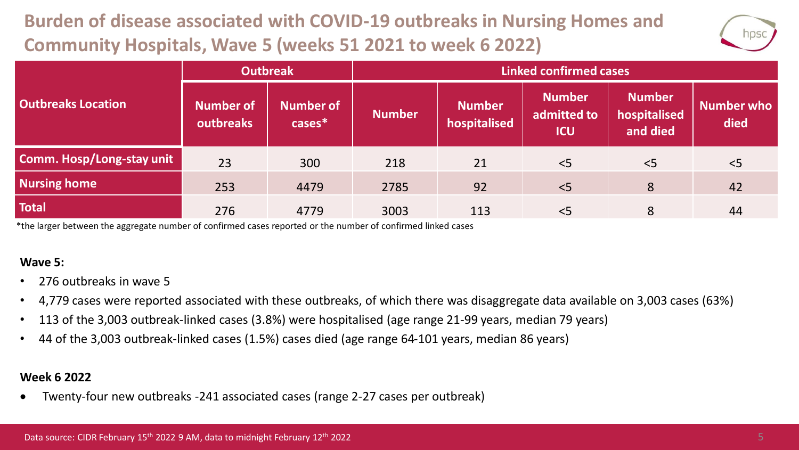## **Burden of disease associated with COVID-19 outbreaks in Nursing Homes and Community Hospitals, Wave 5 (weeks 51 2021 to week 6 2022)**



|                                  | <b>Outbreak</b>        |                               | <b>Linked confirmed cases</b> |                               |                                            |                                           |                           |  |
|----------------------------------|------------------------|-------------------------------|-------------------------------|-------------------------------|--------------------------------------------|-------------------------------------------|---------------------------|--|
| <b>Outbreaks Location</b>        | Number of<br>outbreaks | <b>Number of</b><br>$cases^*$ | <b>Number</b>                 | <b>Number</b><br>hospitalised | <b>Number</b><br>admitted to<br><b>ICU</b> | <b>Number</b><br>hospitalised<br>and died | <b>Number who</b><br>died |  |
| <b>Comm. Hosp/Long-stay unit</b> | 23                     | 300                           | 218                           | 21                            | < 5                                        | < 5                                       | < 5                       |  |
| <b>Nursing home</b>              | 253                    | 4479                          | 2785                          | 92                            | < 5                                        | 8                                         | 42                        |  |
| <b>Total</b>                     | 276                    | 4779                          | 3003                          | 113                           | < 5                                        | 8                                         | 44                        |  |

\*the larger between the aggregate number of confirmed cases reported or the number of confirmed linked cases

#### **Wave 5:**

- 276 outbreaks in wave 5
- 4,779 cases were reported associated with these outbreaks, of which there was disaggregate data available on 3,003 cases (63%)
- 113 of the 3,003 outbreak-linked cases (3.8%) were hospitalised (age range 21-99 years, median 79 years)
- 44 of the 3,003 outbreak-linked cases (1.5%) cases died (age range 64-101 years, median 86 years)

#### **Week 6 2022**

• Twenty-four new outbreaks -241 associated cases (range 2-27 cases per outbreak)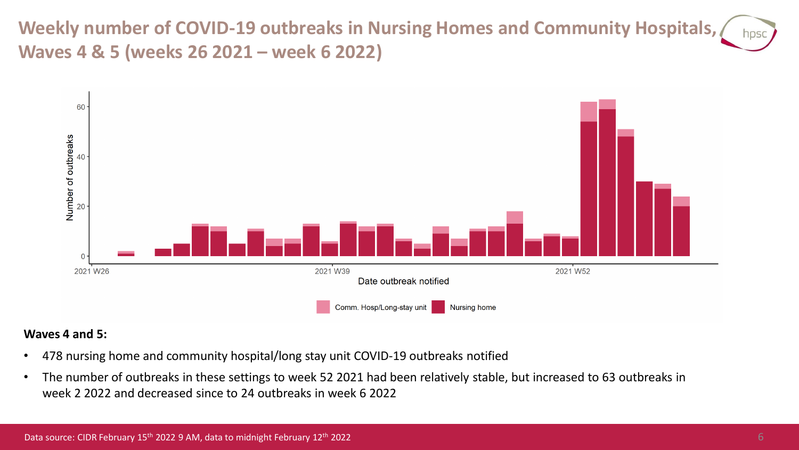**Weekly number of COVID-19 outbreaks in Nursing Homes and Community Hospitals, Waves 4 & 5 (weeks 26 2021 – week 6 2022)**



#### **Waves 4 and 5:**

- 478 nursing home and community hospital/long stay unit COVID-19 outbreaks notified
- The number of outbreaks in these settings to week 52 2021 had been relatively stable, but increased to 63 outbreaks in week 2 2022 and decreased since to 24 outbreaks in week 6 2022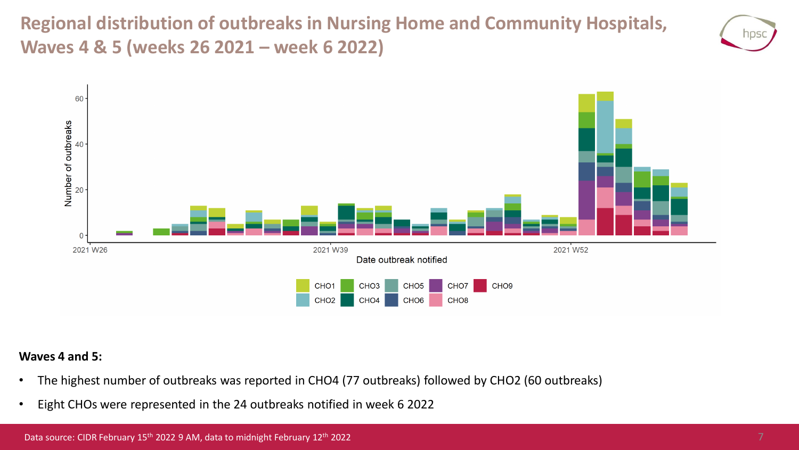**Regional distribution of outbreaks in Nursing Home and Community Hospitals, Waves 4 & 5 (weeks 26 2021 – week 6 2022)**





#### **Waves 4 and 5:**

- The highest number of outbreaks was reported in CHO4 (77 outbreaks) followed by CHO2 (60 outbreaks)
- Eight CHOs were represented in the 24 outbreaks notified in week 6 2022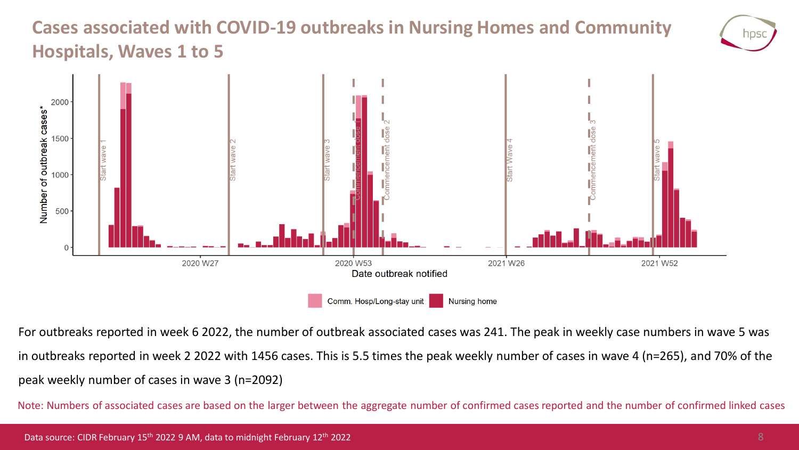### **Cases associated with COVID-19 outbreaks in Nursing Homes and Community Hospitals, Waves 1 to 5**



For outbreaks reported in week 6 2022, the number of outbreak associated cases was 241. The peak in weekly case numbers in wave 5 was in outbreaks reported in week 2 2022 with 1456 cases. This is 5.5 times the peak weekly number of cases in wave 4 (n=265), and 70% of the peak weekly number of cases in wave 3 (n=2092)

Note: Numbers of associated cases are based on the larger between the aggregate number of confirmed cases reported and the number of confirmed linked cases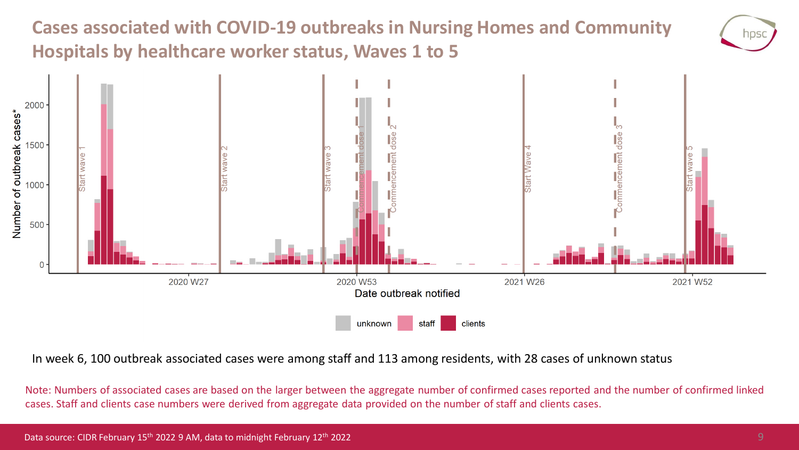### **Cases associated with COVID-19 outbreaks in Nursing Homes and Community Hospitals by healthcare worker status, Waves 1 to 5**



In week 6, 100 outbreak associated cases were among staff and 113 among residents, with 28 cases of unknown status

Note: Numbers of associated cases are based on the larger between the aggregate number of confirmed cases reported and the number of confirmed linked cases. Staff and clients case numbers were derived from aggregate data provided on the number of staff and clients cases.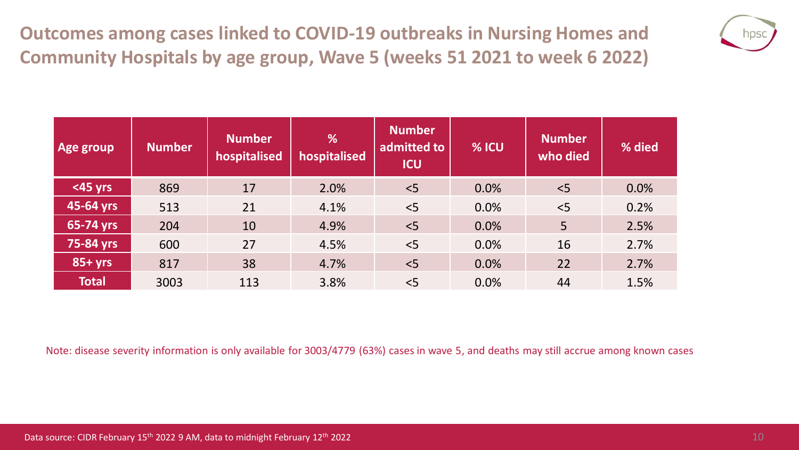**Outcomes among cases linked to COVID-19 outbreaks in Nursing Homes and Community Hospitals by age group, Wave 5 (weeks 51 2021 to week 6 2022)**



| Age group    | <b>Number</b> | <b>Number</b><br>hospitalised | %<br>hospitalised | <b>Number</b><br>admitted to<br><b>ICU</b> | % ICU | <b>Number</b><br>who died | % died |
|--------------|---------------|-------------------------------|-------------------|--------------------------------------------|-------|---------------------------|--------|
| <45 yrs      | 869           | 17                            | 2.0%              | < 5                                        | 0.0%  | < 5                       | 0.0%   |
| 45-64 yrs    | 513           | 21                            | 4.1%              | < 5                                        | 0.0%  | < 5                       | 0.2%   |
| 65-74 yrs    | 204           | 10                            | 4.9%              | < 5                                        | 0.0%  | 5                         | 2.5%   |
| 75-84 yrs    | 600           | 27                            | 4.5%              | < 5                                        | 0.0%  | 16                        | 2.7%   |
| $85 + yrs$   | 817           | 38                            | 4.7%              | < 5                                        | 0.0%  | 22                        | 2.7%   |
| <b>Total</b> | 3003          | 113                           | 3.8%              | < 5                                        | 0.0%  | 44                        | 1.5%   |

Note: disease severity information is only available for 3003/4779 (63%) cases in wave 5, and deaths may still accrue among known cases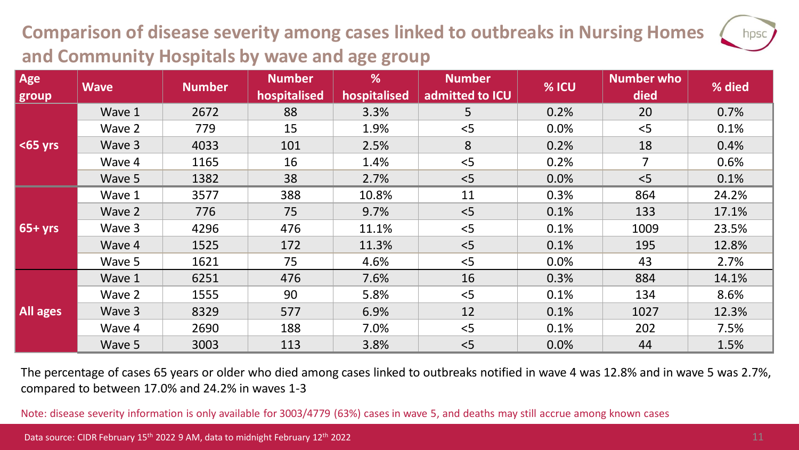## **Comparison of disease severity among cases linked to outbreaks in Nursing Homes and Community Hospitals by wave and age group**

| Age         | <b>Wave</b> | <b>Number</b> | <b>Number</b><br>hospitalised | %<br>hospitalised | <b>Number</b><br>admitted to ICU | % ICU | <b>Number who</b><br>died | % died |
|-------------|-------------|---------------|-------------------------------|-------------------|----------------------------------|-------|---------------------------|--------|
| group       |             |               |                               |                   |                                  |       |                           |        |
| $ $ <65 yrs | Wave 1      | 2672          | 88                            | 3.3%              | 5                                | 0.2%  | 20                        | 0.7%   |
|             | Wave 2      | 779           | 15                            | 1.9%              | < 5                              | 0.0%  | < 5                       | 0.1%   |
|             | Wave 3      | 4033          | 101                           | 2.5%              | 8                                | 0.2%  | 18                        | 0.4%   |
|             | Wave 4      | 1165          | 16                            | 1.4%              | < 5                              | 0.2%  | $\overline{7}$            | 0.6%   |
|             | Wave 5      | 1382          | 38                            | 2.7%              | < 5                              | 0.0%  | < 5                       | 0.1%   |
| $65+yrs$    | Wave 1      | 3577          | 388                           | 10.8%             | 11                               | 0.3%  | 864                       | 24.2%  |
|             | Wave 2      | 776           | 75                            | 9.7%              | < 5                              | 0.1%  | 133                       | 17.1%  |
|             | Wave 3      | 4296          | 476                           | 11.1%             | < 5                              | 0.1%  | 1009                      | 23.5%  |
|             | Wave 4      | 1525          | 172                           | 11.3%             | < 5                              | 0.1%  | 195                       | 12.8%  |
|             | Wave 5      | 1621          | 75                            | 4.6%              | < 5                              | 0.0%  | 43                        | 2.7%   |
| All ages    | Wave 1      | 6251          | 476                           | 7.6%              | 16                               | 0.3%  | 884                       | 14.1%  |
|             | Wave 2      | 1555          | 90                            | 5.8%              | < 5                              | 0.1%  | 134                       | 8.6%   |
|             | Wave 3      | 8329          | 577                           | 6.9%              | 12                               | 0.1%  | 1027                      | 12.3%  |
|             | Wave 4      | 2690          | 188                           | 7.0%              | < 5                              | 0.1%  | 202                       | 7.5%   |
|             | Wave 5      | 3003          | 113                           | 3.8%              | < 5                              | 0.0%  | 44                        | 1.5%   |

The percentage of cases 65 years or older who died among cases linked to outbreaks notified in wave 4 was 12.8% and in wave 5 was 2.7%, compared to between 17.0% and 24.2% in waves 1-3

Note: disease severity information is only available for 3003/4779 (63%) cases in wave 5, and deaths may still accrue among known cases